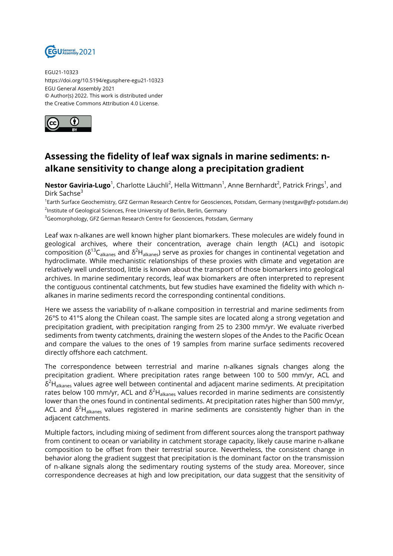

EGU21-10323 https://doi.org/10.5194/egusphere-egu21-10323 EGU General Assembly 2021 © Author(s) 2022. This work is distributed under the Creative Commons Attribution 4.0 License.



## **Assessing the fidelity of leaf wax signals in marine sediments: nalkane sensitivity to change along a precipitation gradient**

**Nestor Gaviria-Lugo**<sup>1</sup>, Charlotte Läuchli<sup>2</sup>, Hella Wittmann<sup>1</sup>, Anne Bernhardt<sup>2</sup>, Patrick Frings<sup>1</sup>, and Dirk Sachse<sup>3</sup>

1Earth Surface Geochemistry, GFZ German Research Centre for Geosciences, Potsdam, Germany (nestgav@gfz-potsdam.de) <sup>2</sup>Institute of Geological Sciences, Free University of Berlin, Berlin, Germany

<sup>3</sup>Geomorphology, GFZ German Research Centre for Geosciences, Potsdam, Germany

Leaf wax n-alkanes are well known higher plant biomarkers. These molecules are widely found in geological archives, where their concentration, average chain length (ACL) and isotopic composition ( $δ<sup>13</sup>C<sub>alkanes</sub>$  and  $δ<sup>2</sup>H<sub>alkanes</sub>$ ) serve as proxies for changes in continental vegetation and hydroclimate. While mechanistic relationships of these proxies with climate and vegetation are relatively well understood, little is known about the transport of those biomarkers into geological archives. In marine sedimentary records, leaf wax biomarkers are often interpreted to represent the contiguous continental catchments, but few studies have examined the fidelity with which nalkanes in marine sediments record the corresponding continental conditions.

Here we assess the variability of n-alkane composition in terrestrial and marine sediments from 26°S to 41°S along the Chilean coast. The sample sites are located along a strong vegetation and precipitation gradient, with precipitation ranging from 25 to 2300 mm/yr. We evaluate riverbed sediments from twenty catchments, draining the western slopes of the Andes to the Pacific Ocean and compare the values to the ones of 19 samples from marine surface sediments recovered directly offshore each catchment.

The correspondence between terrestrial and marine n-alkanes signals changes along the precipitation gradient. Where precipitation rates range between 100 to 500 mm/yr, ACL and  $\delta^2$ H<sub>alkanes</sub> values agree well between continental and adjacent marine sediments. At precipitation rates below 100 mm/yr, ACL and  $\delta^2H_{\text{alkanes}}$  values recorded in marine sediments are consistently lower than the ones found in continental sediments. At precipitation rates higher than 500 mm/yr, ACL and  $\delta^2H_{\text{alkanes}}$  values registered in marine sediments are consistently higher than in the adjacent catchments.

Multiple factors, including mixing of sediment from different sources along the transport pathway from continent to ocean or variability in catchment storage capacity, likely cause marine n-alkane composition to be offset from their terrestrial source. Nevertheless, the consistent change in behavior along the gradient suggest that precipitation is the dominant factor on the transmission of n-alkane signals along the sedimentary routing systems of the study area. Moreover, since correspondence decreases at high and low precipitation, our data suggest that the sensitivity of